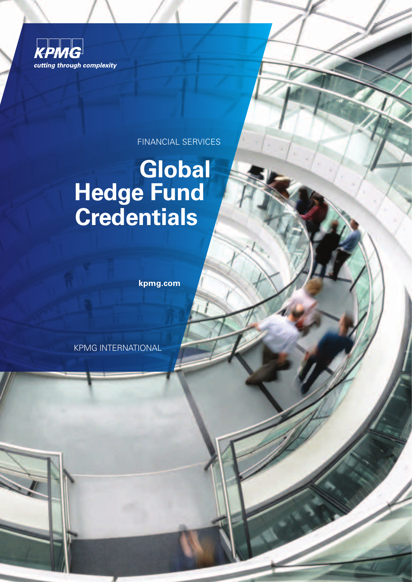

FINANCIAL SERVICES

### **Global Hedge Fund Credentials**

**kpmg.com**

KPMG INTERNATIONAL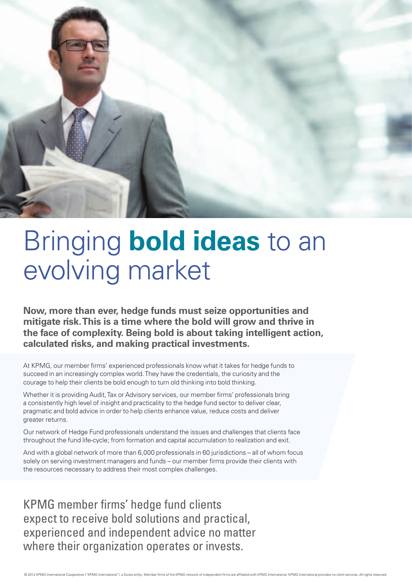

# Bringing **bold ideas** to an evolving market

**Now, more than ever, hedge funds must seize opportunities and mitigate risk. This is a time where the bold will grow and thrive in the face of complexity. Being bold is about taking intelligent action, calculated risks, and making practical investments.**

At KPMG, our member firms' experienced professionals know what it takes for hedge funds to succeed in an increasingly complex world. They have the credentials, the curiosity and the courage to help their clients be bold enough to turn old thinking into bold thinking.

Whether it is providing Audit, Tax or Advisory services, our member firms' professionals bring a consistently high level of insight and practicality to the hedge fund sector to deliver clear, pragmatic and bold advice in order to help clients enhance value, reduce costs and deliver greater returns.

Our network of Hedge Fund professionals understand the issues and challenges that clients face throughout the fund life-cycle; from formation and capital accumulation to realization and exit.

And with a global network of more than 6,000 professionals in 60 jurisdictions – all of whom focus solely on serving investment managers and funds – our member firms provide their clients with the resources necessary to address their most complex challenges.

KPMG member firms' hedge fund clients expect to receive bold solutions and practical, experienced and independent advice no matter where their organization operates or invests.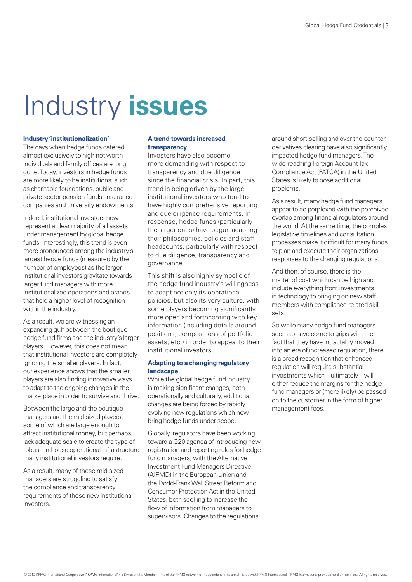## Industry **issues**

#### **Industry 'institutionalization'**

The days when hedge funds catered almost exclusively to high net worth individuals and family offices are long gone. Today, investors in hedge funds are more likely to be institutions, such as charitable foundations, public and private sector pension funds, insurance companies and university endowments.

Indeed, institutional investors now represent a clear majority of all assets under management by global hedge funds. Interestingly, this trend is even more pronounced among the industry's largest hedge funds (measured by the number of employees) as the larger institutional investors gravitate towards larger fund managers with more institutionalized operations and brands that hold a higher level of recognition within the industry.

As a result, we are witnessing an expanding gulf between the boutique hedge fund firms and the industry's larger players. However, this does not mean that institutional investors are completely ignoring the smaller players. In fact, our experience shows that the smaller players are also finding innovative ways to adapt to the ongoing changes in the marketplace in order to survive and thrive.

Between the large and the boutique managers are the mid-sized players, some of which are large enough to attract institutional money, but perhaps lack adequate scale to create the type of robust, in-house operational infrastructure many institutional investors require.

As a result, many of these mid-sized managers are struggling to satisfy the compliance and transparency requirements of these new institutional investors.

### **A trend towards increased transparency**

Investors have also become more demanding with respect to transparency and due diligence since the financial crisis. In part, this trend is being driven by the large institutional investors who tend to have highly comprehensive reporting and due diligence requirements. In response, hedge funds (particularly the larger ones) have begun adapting their philosophies, policies and staff headcounts, particularly with respect to due diligence, transparency and governance.

This shift is also highly symbolic of the hedge fund industry's willingness to adapt not only its operational policies, but also its very culture, with some players becoming significantly more open and forthcoming with key information (including details around positions, compositions of portfolio assets, etc.) in order to appeal to their institutional investors.

### **Adapting to a changing regulatory landscape**

While the global hedge fund industry is making significant changes, both operationally and culturally, additional changes are being forced by rapidly evolving new regulations which now bring hedge funds under scope.

Globally, regulators have been working toward a G20 agenda of introducing new registration and reporting rules for hedge fund managers, with the Alternative Investment Fund Managers Directive (AIFMD) in the European Union and the Dodd-Frank Wall Street Reform and Consumer Protection Act in the United States, both seeking to increase the flow of information from managers to supervisors. Changes to the regulations

around short-selling and over-the-counter derivatives clearing have also significantly impacted hedge fund managers. The wide-reaching Foreign Account Tax Compliance Act (FATCA) in the United States is likely to pose additional problems.

As a result, many hedge fund managers appear to be perplexed with the perceived overlap among financial regulators around the world. At the same time, the complex legislative timelines and consultation processes make it difficult for many funds to plan and execute their organizations' responses to the changing regulations.

And then, of course, there is the matter of cost which can be high and include everything from investments in technology to bringing on new staff members with compliance-related skill sets.

So while many hedge fund managers seem to have come to grips with the fact that they have intractably moved into an era of increased regulation, there is a broad recognition that enhanced regulation will require substantial investments which – ultimately – will either reduce the margins for the hedge fund managers or (more likely) be passed on to the customer in the form of higher management fees.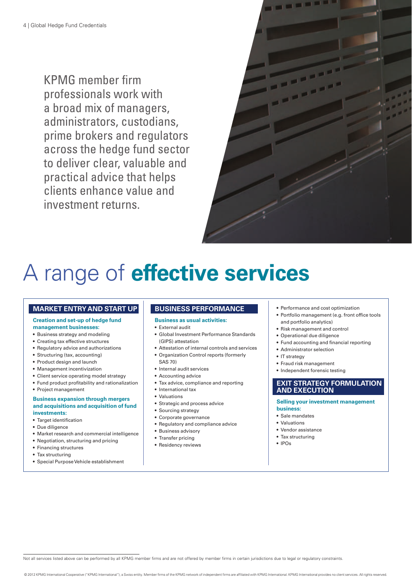KPMG member firm professionals work with a broad mix of managers, administrators, custodians, prime brokers and regulators across the hedge fund sector to deliver clear, valuable and practical advice that helps clients enhance value and investment returns.



### A range of **effective services**

### **MARKET ENTRY AND START UP**

#### **Creation and set-up of hedge fund management businesses:**

- • Business strategy and modeling
- Creating tax effective structures
- Regulatory advice and authorizations
- Structuring (tax, accounting)
- Product design and launch
- Management incentivization
- Client service operating model strategy
- Fund product profitability and rationalization
- Project management

#### **Business expansion through mergers and acquisitions and acquisition of fund investments:**

- Target identification
- • Due diligence
- • Market research and commercial intelligence
- • Negotiation, structuring and pricing
- Financing structures
- Tax structuring
- Special Purpose Vehicle establishment

### **BUSINESS PERFORMANCE**

### **Business as usual activities:**

- • External audit
- • Global Investment Performance Standards (GIPS) attestation
- • Attestation of internal controls and services
- • Organization Control reports (formerly SAS 70)
- • Internal audit services
- Accounting advice
- Tax advice, compliance and reporting
- International tax
- • Valuations
- • Strategic and process advice
- Sourcing strategy
- • Corporate governance
- • Regulatory and compliance advice
- Business advisory
- Transfer pricing
- Residency reviews
- Performance and cost optimization
- Portfolio management (e.g. front office tools and portfolio analytics)
- Risk management and control
- Operational due diligence
- • Fund accounting and financial reporting
- • Administrator selection
- IT strategy
- • Fraud risk management
- Independent forensic testing

### **EXIT STRATEGY FORMULATION AND EXECUTION**

#### **Selling your investment management business:**

- • Sale mandates
- • Valuations
- • Vendor assistance
- Tax structuring
- $\bullet$  IPOs

Not all services listed above can be performed by all KPMG member firms and are not offered by member firms in certain jurisdictions due to legal or regulatory constraints.

© 2012 KPMG International Cooperative ("KPMG International") a Swiss entity Member firms of the KPMG network of independent firms are affiliated with KPMG International KPMG International provides no client services. All r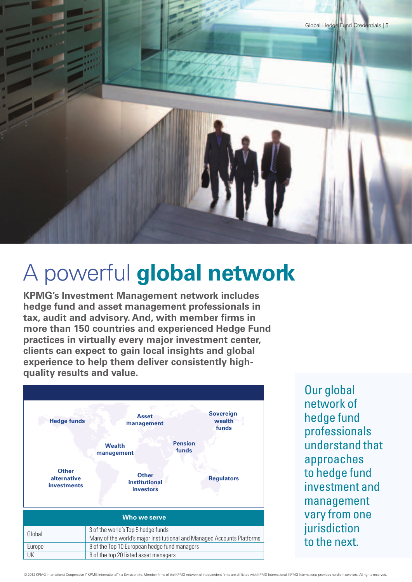

### A powerful **global network**

**KPMG's Investment Management network includes hedge fund and asset management professionals in tax, audit and advisory. And, with member firms in more than 150 countries and experienced Hedge Fund practices in virtually every major investment center, clients can expect to gain local insights and global experience to help them deliver consistently highquality results and value.** 



Our global network of hedge fund professionals understand that approaches to hedge fund investment and management vary from one iurisdiction to the next.

© 2012 KPMG International Cooperative ("KPMG International") a Swiss entity Member firms of the KPMG network of independent firms are affiliated with KPMG International KPMG International movides no client services. All ri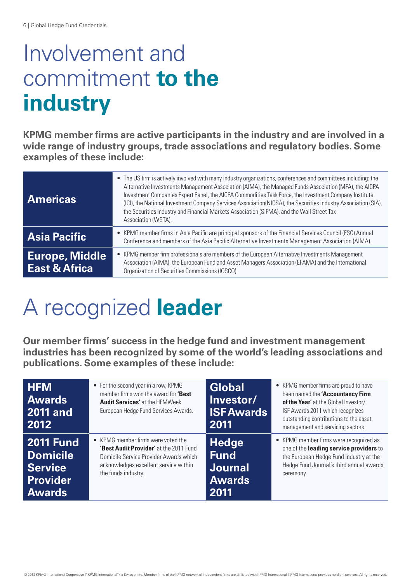### Involvement and commitment **to the industry**

**KPMG member firms are active participants in the industry and are involved in a wide range of industry groups, trade associations and regulatory bodies. Some examples of these include:**

| <b>Americas</b>                                   | • The US firm is actively involved with many industry organizations, conferences and committees including: the<br>Alternative Investments Management Association (AIMA), the Managed Funds Association (MFA), the AICPA<br>Investment Companies Expert Panel, the AICPA Commodities Task Force, the Investment Company Institute<br>(ICI), the National Investment Company Services Association(NICSA), the Securities Industry Association (SIA),<br>the Securities Industry and Financial Markets Association (SIFMA), and the Wall Street Tax<br>Association (WSTA). |  |
|---------------------------------------------------|-------------------------------------------------------------------------------------------------------------------------------------------------------------------------------------------------------------------------------------------------------------------------------------------------------------------------------------------------------------------------------------------------------------------------------------------------------------------------------------------------------------------------------------------------------------------------|--|
| <b>Asia Pacific</b>                               | • KPMG member firms in Asia Pacific are principal sponsors of the Financial Services Council (FSC) Annual<br>Conference and members of the Asia Pacific Alternative Investments Management Association (AIMA).                                                                                                                                                                                                                                                                                                                                                          |  |
| <b>Europe, Middle</b><br><b>East &amp; Africa</b> | • KPMG member firm professionals are members of the European Alternative Investments Management<br>Association (AIMA), the European Fund and Asset Managers Association (EFAMA) and the International<br>Organization of Securities Commissions (IOSCO).                                                                                                                                                                                                                                                                                                                |  |

## A recognized **leader**

**Our member firms' success in the hedge fund and investment management industries has been recognized by some of the world's leading associations and publications. Some examples of these include:**

| <b>HFM</b><br><b>Awards</b><br><b>2011 and</b><br>2012 | • For the second year in a row, KPMG<br>member firms won the award for 'Best<br><b>Audit Services'</b> at the HFMWeek<br>European Hedge Fund Services Awards. | <b>Global</b><br>Investor/<br><b>ISFAwards</b><br>2011 | • KPMG member firms are proud to have<br>been named the 'Accountancy Firm<br>of the Year' at the Global Investor/<br>ISF Awards 2011 which recognizes<br>outstanding contributions to the asset<br>management and servicing sectors. |
|--------------------------------------------------------|---------------------------------------------------------------------------------------------------------------------------------------------------------------|--------------------------------------------------------|--------------------------------------------------------------------------------------------------------------------------------------------------------------------------------------------------------------------------------------|
| <b>2011 Fund</b>                                       | • KPMG member firms were voted the                                                                                                                            | <b>Hedge</b>                                           | • KPMG member firms were recognized as                                                                                                                                                                                               |
| <b>Domicile</b>                                        | 'Best Audit Provider' at the 2011 Fund                                                                                                                        | <b>Fund</b>                                            | one of the leading service providers to                                                                                                                                                                                              |
| <b>Service</b>                                         | Domicile Service Provider Awards which                                                                                                                        | <b>Journal</b>                                         | the European Hedge Fund industry at the                                                                                                                                                                                              |
| <b>Provider</b>                                        | acknowledges excellent service within                                                                                                                         | <b>Awards</b>                                          | Hedge Fund Journal's third annual awards                                                                                                                                                                                             |
| <b>Awards</b>                                          | the funds industry.                                                                                                                                           | 2011                                                   | ceremony.                                                                                                                                                                                                                            |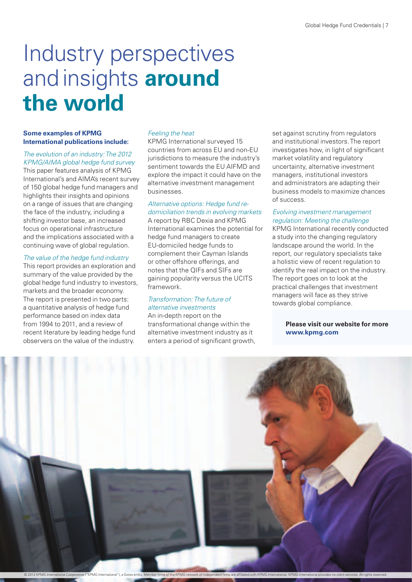### Industry perspectives and insights **around the world**

### **Some examples of KPMG International publications include:**

### *The evolution of an industry: The 2012 KPMG/AIMA global hedge fund survey*

This paper features analysis of KPMG International's and AIMA's recent survey of 150 global hedge fund managers and highlights their insights and opinions on a range of issues that are changing the face of the industry, including a shifting investor base, an increased focus on operational infrastructure and the implications associated with a continuing wave of global regulation.

### *The value of the hedge fund industry*

This report provides an exploration and summary of the value provided by the global hedge fund industry to investors, markets and the broader economy. The report is presented in two parts: a quantitative analysis of hedge fund performance based on index data from 1994 to 2011, and a review of recent literature by leading hedge fund observers on the value of the industry.

### *Feeling the heat*

KPMG International surveyed 15 countries from across EU and non-EU jurisdictions to measure the industry's sentiment towards the EU AIFMD and explore the impact it could have on the alternative investment management businesses.

### *Alternative options: Hedge fund redomiciliation trends in evolving markets*

A report by RBC Dexia and KPMG International examines the potential for hedge fund managers to create EU-domiciled hedge funds to complement their Cayman Islands or other offshore offerings, and notes that the QIFs and SIFs are gaining popularity versus the UCITS framework.

### *Transformation: The future of alternative investments*

An in-depth report on the transformational change within the alternative investment industry as it enters a period of significant growth, set against scrutiny from regulators and institutional investors. The report investigates how, in light of significant market volatility and regulatory uncertainty, alternative investment managers, institutional investors and administrators are adapting their business models to maximize chances of success.

### *Evolving investment management regulation: Meeting the challenge*

KPMG International recently conducted a study into the changing regulatory landscape around the world. In the report, our regulatory specialists take a holistic view of recent regulation to identify the real impact on the industry. The report goes on to look at the practical challenges that investment managers will face as they strive towards global compliance.

### **Please visit our website for more www.kpmg.com**